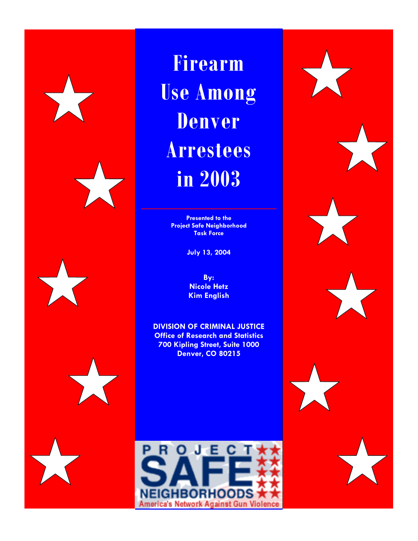**Firearm Use Among Denver Arrestees in 2003** 

> **Presented to the Project Safe Neighborhood Task Force**

> > **July 13, 2004**

**By: Nicole Hetz Kim English** 

**DIVISION OF CRIMINAL JUSTICE Office of Research and Statistics 700 Kipling Street, Suite 1000 Denver, CO 80215** 

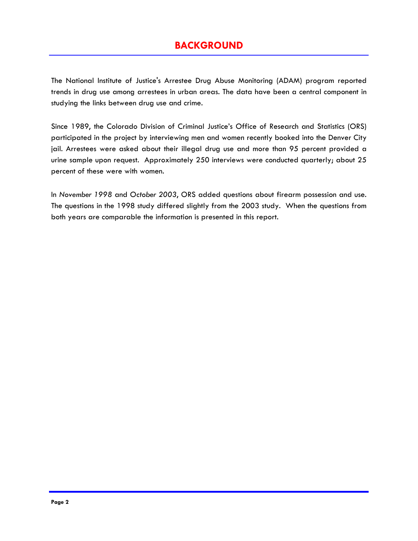# **BACKGROUND**

The National Institute of Justice's Arrestee Drug Abuse Monitoring (ADAM) program reported trends in drug use among arrestees in urban areas. The data have been a central component in studying the links between drug use and crime.

Since 1989, the Colorado Division of Criminal Justice's Office of Research and Statistics (ORS) participated in the project by interviewing men and women recently booked into the Denver City jail. Arrestees were asked about their illegal drug use and more than 95 percent provided a urine sample upon request. Approximately 250 interviews were conducted quarterly; about 25 percent of these were with women.

In *November 1998* and *October 2003*, ORS added questions about firearm possession and use. The questions in the 1998 study differed slightly from the 2003 study. When the questions from both years are comparable the information is presented in this report.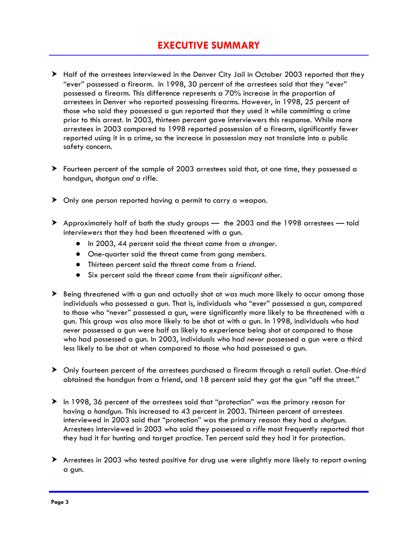# **EXECUTIVE SUMMARY**

- > Half of the arrestees interviewed in the Denver City Jail in October 2003 reported that they "ever" possessed a firearm. In 1998, 30 percent of the arrestees said that they "ever" possessed a firearm. This difference represents a 70% increase in the proportion of arrestees in Denver who reported possessing firearms. However, in 1998, 25 percent of those who said they possessed a gun reported that they used it while committing a crime prior to this arrest. In 2003, thirteen percent gave interviewers this response. While more arrestees in 2003 compared to 1998 reported possession of a firearm, significantly fewer reported using it in a crime, so the increase in possession may not translate into a public safety concern.
- $\blacktriangleright$  Fourteen percent of the sample of 2003 arrestees said that, at one time, they possessed a handgun, shotgun *and* a rifle.
- $\triangleright$  Only one person reported having a permit to carry a weapon.
- $\triangleright$  Approximately half of both the study groups the 2003 and the 1998 arrestees told interviewers that they had been threatened with a gun.
	- In 2003, 44 percent said the threat came from a *stranger.*
	- One-quarter said the threat came from *gang members*.
	- Thirteen percent said the threat came from a *friend*.
	- Six percent said the threat came from their *significant other.*
- $\triangleright$  Being threatened with a gun and actually shot at was much more likely to occur among those individuals who possessed a gun. That is, individuals who "ever" possessed a gun, compared to those who "never" possessed a gun, were significantly more likely to be threatened with a gun. This group was also more likely to be shot at with a gun. In 1998, individuals who had *never* possessed a gun were half as likely to experience being shot at compared to those who had possessed a gun. In 2003, individuals who had *never* possessed a gun were a third less likely to be shot at when compared to those who had possessed a gun.
- h Only fourteen percent of the arrestees purchased a firearm through a retail outlet. One-third obtained the handgun from a friend, and 18 percent said they got the gun "off the street."
- h In 1998, 36 percent of the arrestees said that "protection" was the primary reason for having a *handgun*. This increased to 43 percent in 2003. Thirteen percent of arrestees interviewed in 2003 said that "protection" was the primary reason they had a *shotgun*. Arrestees interviewed in 2003 who said they possessed a *rifle* most frequently reported that they had it for hunting and target practice. Ten percent said they had it for protection.
- $\blacktriangleright$  Arrestees in 2003 who tested positive for drug use were slightly more likely to report owning a gun.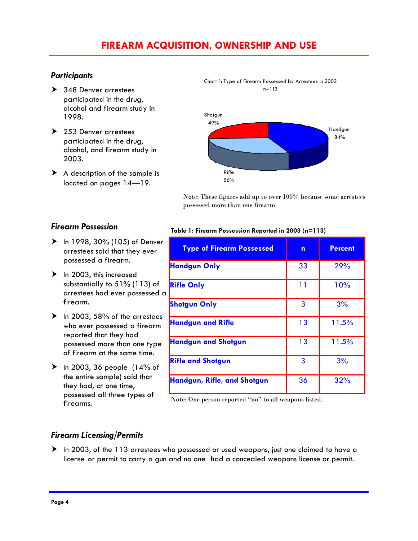# **FIREARM ACQUISITION, OWNERSHIP AND USE**

### *Participants*

- $\geq 348$  Denver arrestees participated in the drug, alcohol and firearm study in 1998.
- $\blacktriangleright$  253 Denver arrestees participated in the drug, alcohol, and firearm study in 2003.
- $\triangleright$  A description of the sample is located on pages 14—19.



 Note: These figures add up to over 100% because some arrestees possessed more than one firearm.

### *Firearm Possession*

- $\triangleright$  In 1998, 30% (105) of Denver arrestees said that they ever possessed a firearm.
- $\blacktriangleright$  In 2003, this increased substantially to 51% (113) of arrestees had ever possessed a firearm.
- $\blacktriangleright$  In 2003, 58% of the arrestees who ever possessed a firearm reported that they had possessed more than one type of firearm at the same time.
- $\blacktriangleright$  In 2003, 36 people (14% of the entire sample) said that they had, at one time, possessed all three types of firearms.

#### **Table 1: Firearm Possession Reported in 2003 (n=113)**

| <b>Type of Firearm Possessed</b> | n  | <b>Percent</b> |
|----------------------------------|----|----------------|
| <b>Handgun Only</b>              | 33 | 29%            |
| <b>Rifle Only</b>                | 11 | 10%            |
| <b>Shotgun Only</b>              | 3  | 3%             |
| <b>Handgun and Rifle</b>         | 13 | 11.5%          |
| <b>Handgun and Shotgun</b>       | 13 | 11.5%          |
| <b>Rifle and Shotgun</b>         | 3  | 3%             |
| Handgun, Rifle, and Shotgun      | 36 | 32%            |

Note: One person reported "no" to all weapons listed.

## *Firearm Licensing/Permits*

 $\blacktriangleright$  In 2003, of the 113 arrestees who possessed or used weapons, just one claimed to have a license or permit to carry a gun and no one had a concealed weapons license or permit.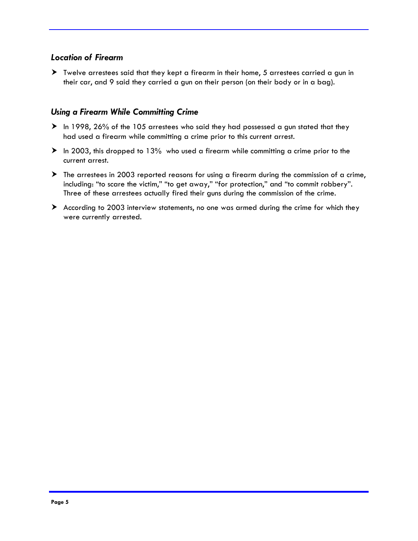## *Location of Firearm*

h Twelve arrestees said that they kept a firearm in their home, 5 arrestees carried a gun in their car, and 9 said they carried a gun on their person (on their body or in a bag).

### *Using a Firearm While Committing Crime*

- $\blacktriangleright$  In 1998, 26% of the 105 arrestees who said they had possessed a gun stated that they had used a firearm while committing a crime prior to this current arrest.
- $\blacktriangleright$  In 2003, this dropped to 13% who used a firearm while committing a crime prior to the current arrest.
- $\blacktriangleright$  The arrestees in 2003 reported reasons for using a firearm during the commission of a crime, including: "to scare the victim," "to get away," "for protection," and "to commit robbery". Three of these arrestees actually fired their guns during the commission of the crime.
- $\blacktriangleright$  According to 2003 interview statements, no one was armed during the crime for which they were currently arrested.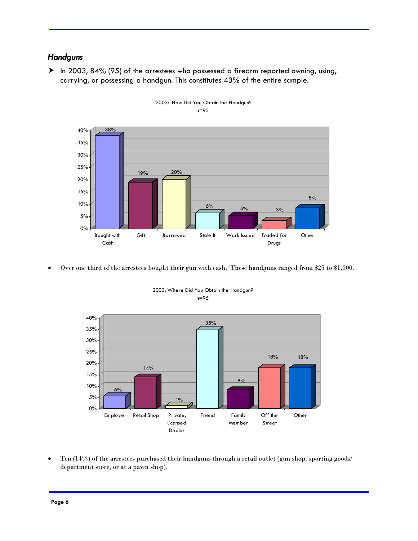### *Handguns*

 $\blacktriangleright$  In 2003, 84% (95) of the arrestees who possessed a firearm reported owning, using, carrying, or possessing a handgun. This constitutes 43% of the entire sample.





• Over one third of the arrestees bought their gun with cash. These handguns ranged from \$25 to \$1,000.



2003: Where Did You Obtain the Handgun? n=95

• Ten (14%) of the arrestees purchased their handguns through a retail outlet (gun shop, sporting goods/ department store, or at a pawn shop).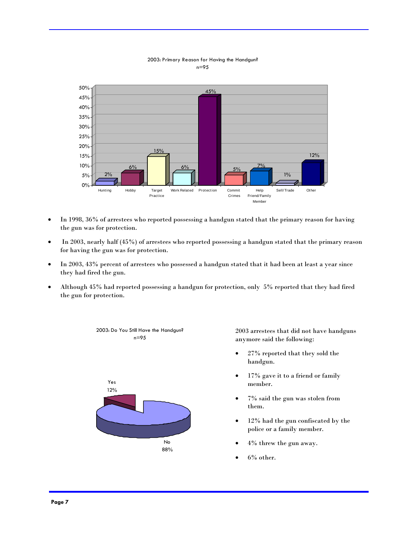

#### 2003: Primary Reason for Having the Handgun? n=95

- In 1998, 36% of arrestees who reported possessing a handgun stated that the primary reason for having the gun was for protection.
- In 2003, nearly half (45%) of arrestees who reported possessing a handgun stated that the primary reason for having the gun was for protection.
- In 2003, 43% percent of arrestees who possessed a handgun stated that it had been at least a year since they had fired the gun.
- Although 45% had reported possessing a handgun for protection, only 5% reported that they had fired the gun for protection.



2003 arrestees that did not have handguns anymore said the following:

- 27% reported that they sold the handgun.
- 17% gave it to a friend or family member.
- 7% said the gun was stolen from them.
- 12% had the gun confiscated by the police or a family member.
- 4% threw the gun away.
- 6% other.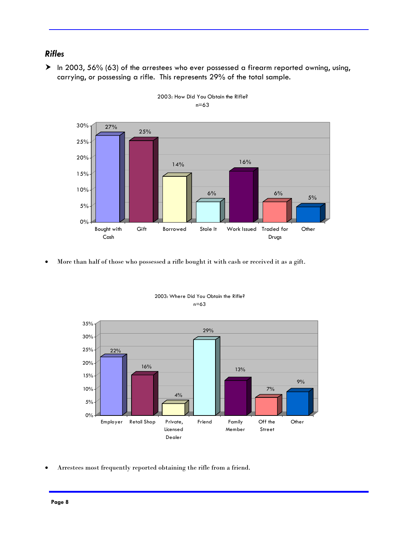## *Rifles*

 $\blacktriangleright$  In 2003, 56% (63) of the arrestees who ever possessed a firearm reported owning, using, carrying, or possessing a rifle. This represents 29% of the total sample.





• More than half of those who possessed a rifle bought it with cash or received it as a gift.



2003: Where Did You Obtain the Rifle? n=63

• Arrestees most frequently reported obtaining the rifle from a friend.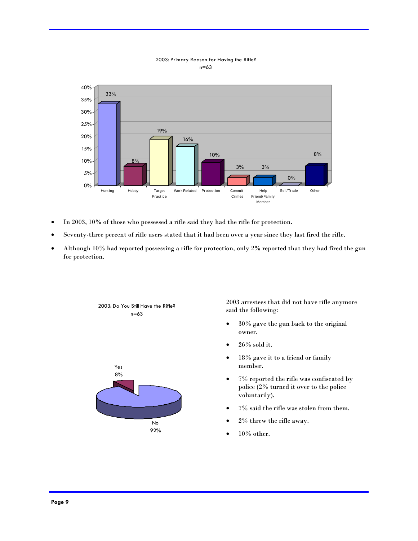

#### 2003: Primary Reason for Having the Rifle? n=63

- In 2003, 10% of those who possessed a rifle said they had the rifle for protection.
- Seventy-three percent of rifle users stated that it had been over a year since they last fired the rifle.
- Although 10% had reported possessing a rifle for protection, only 2% reported that they had fired the gun for protection.



2003 arrestees that did not have rifle anymore said the following:

- 30% gave the gun back to the original owner.
- $26\%$  sold it.
- 18% gave it to a friend or family member.
- 7% reported the rifle was confiscated by police (2% turned it over to the police voluntarily).
- $7\%$  said the rifle was stolen from them.
- 2% threw the rifle away.
- $10\%$  other.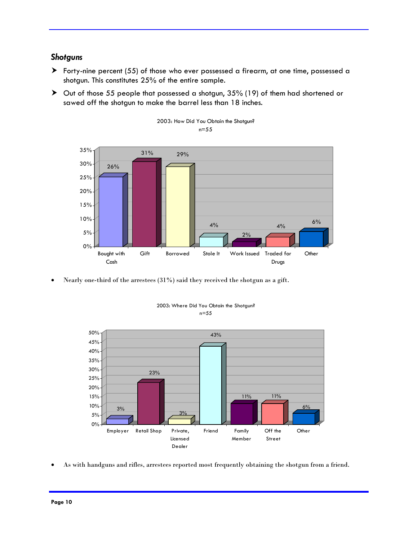### *Shotguns*

- h Forty-nine percent (55) of those who ever possessed a firearm, at one time, possessed a shotgun. This constitutes 25% of the entire sample.
- $\triangleright$  Out of those 55 people that possessed a shotgun, 35% (19) of them had shortened or sawed off the shotgun to make the barrel less than 18 inches.





• Nearly one-third of the arrestees (31%) said they received the shotgun as a gift.



2003: Where Did You Obtain the Shotgun? n=55

• As with handguns and rifles, arrestees reported most frequently obtaining the shotgun from a friend.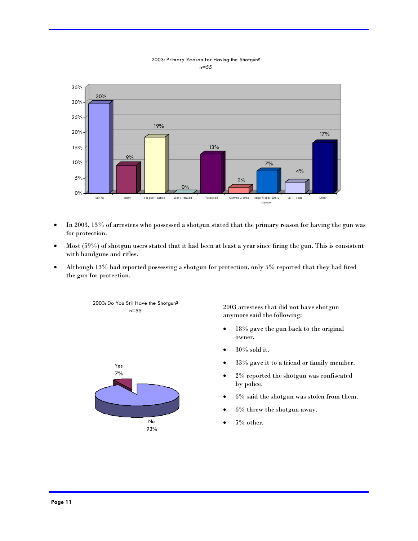

#### 2003: Primary Reason for Having the Shotgun? n=55

- In 2003, 13% of arrestees who possessed a shotgun stated that the primary reason for having the gun was for protection.
- Most (59%) of shotgun users stated that it had been at least a year since firing the gun. This is consistent with handguns and rifles.
- Although 13% had reported possessing a shotgun for protection, only 5% reported that they had fired the gun for protection.



2003: Do You Still Have the Shotgun? n=55

2003 arrestees that did not have shotgun anymore said the following:

- 18% gave the gun back to the original owner.
- 30% sold it.
- 33% gave it to a friend or family member.
- 2% reported the shotgun was confiscated by police.
- 6% said the shotgun was stolen from them.
- 6% threw the shotgun away.
- 5% other.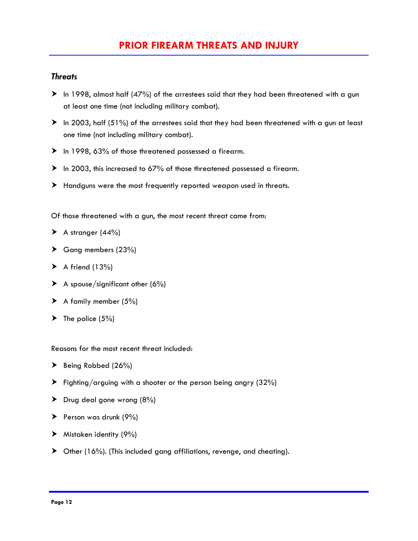### *Threats*

- $\blacktriangleright$  In 1998, almost half (47%) of the arrestees said that they had been threatened with a gun at least one time (not including military combat).
- $\blacktriangleright$  In 2003, half (51%) of the arrestees said that they had been threatened with a gun at least one time (not including military combat).
- $\blacktriangleright$  In 1998, 63% of those threatened possessed a firearm.
- $\blacktriangleright$  In 2003, this increased to 67% of those threatened possessed a firearm.
- $\blacktriangleright$  Handguns were the most frequently reported weapon used in threats.

Of those threatened with a gun, the most recent threat came from:

- $\blacktriangleright$  A stranger (44%)
- $\triangleright$  Gang members (23%)
- $\blacktriangleright$  A friend (13%)
- $\blacktriangleright$  A spouse/significant other (6%)
- $\blacktriangleright$  A family member (5%)
- $\blacktriangleright$  The police (5%)

Reasons for the most recent threat included:

- $\blacktriangleright$  Being Robbed (26%)
- $\blacktriangleright$  Fighting/arguing with a shooter or the person being angry (32%)
- $\triangleright$  Drug deal gone wrong (8%)
- $\blacktriangleright$  Person was drunk (9%)
- $\blacktriangleright$  Mistaken identity (9%)
- $\triangleright$  Other (16%). (This included gang affiliations, revenge, and cheating).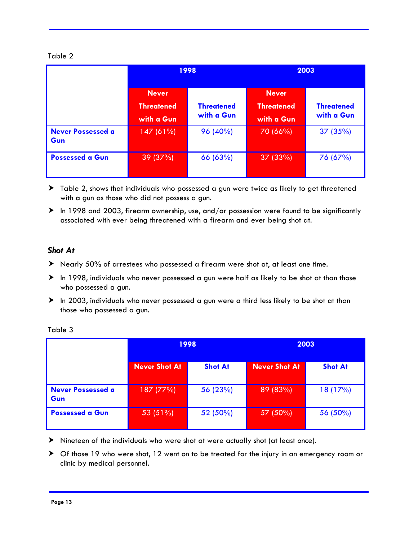### Table 2

|                                 | 1998                                            |                                 | 2003                                            |                                 |
|---------------------------------|-------------------------------------------------|---------------------------------|-------------------------------------------------|---------------------------------|
|                                 | <b>Never</b><br><b>Threatened</b><br>with a Gun | <b>Threatened</b><br>with a Gun | <b>Never</b><br><b>Threatened</b><br>with a Gun | <b>Threatened</b><br>with a Gun |
| <b>Never Possessed a</b><br>Gun | 147(61%)                                        | 96 (40%)                        | 70 (66%)                                        | 37(35%)                         |
| <b>Possessed a Gun</b>          | 39 (37%)                                        | 66 (63%)                        | 37 (33%)                                        | 76 (67%)                        |

- $\blacktriangleright$  Table 2, shows that individuals who possessed a gun were twice as likely to get threatened with a gun as those who did not possess a gun.
- $\blacktriangleright$  In 1998 and 2003, firearm ownership, use, and/or possession were found to be significantly associated with ever being threatened with a firearm and ever being shot at.

### *Shot At*

- h Nearly 50% of arrestees who possessed a firearm were shot at, at least one time.
- $\triangleright$  In 1998, individuals who never possessed a gun were half as likely to be shot at than those who possessed a gun.
- $\blacktriangleright$  In 2003, individuals who never possessed a gun were a third less likely to be shot at than those who possessed a gun.

|                                 | 1998                 |                | 2003                 |                |
|---------------------------------|----------------------|----------------|----------------------|----------------|
|                                 | <b>Never Shot At</b> | <b>Shot At</b> | <b>Never Shot At</b> | <b>Shot At</b> |
| <b>Never Possessed a</b><br>Gun | 187 (77%)            | 56 (23%)       | 89 (83%)             | 18 (17%)       |
| <b>Possessed a Gun</b>          | 53 (51%)             | 52 (50%)       | 57 (50%)             | 56 (50%)       |

Table 3

- $\blacktriangleright$  Nineteen of the individuals who were shot at were actually shot (at least once).
- $\triangleright$  Of those 19 who were shot, 12 went on to be treated for the injury in an emergency room or clinic by medical personnel.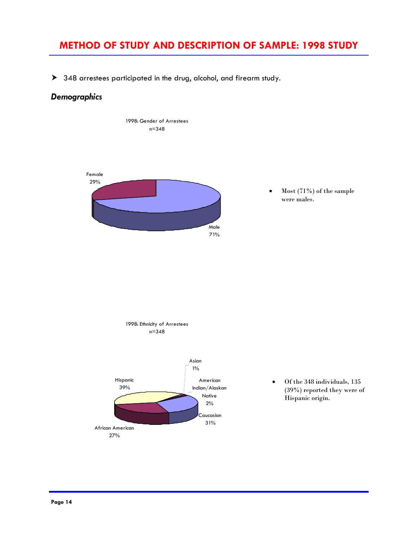# **METHOD OF STUDY AND DESCRIPTION OF SAMPLE: 1998 STUDY**

 $\blacktriangleright$  348 arrestees participated in the drug, alcohol, and firearm study.

## *Demographics*



• Most (71%) of the sample were males.



• Of the 348 individuals, 135 (39%) reported they were of Hispanic origin.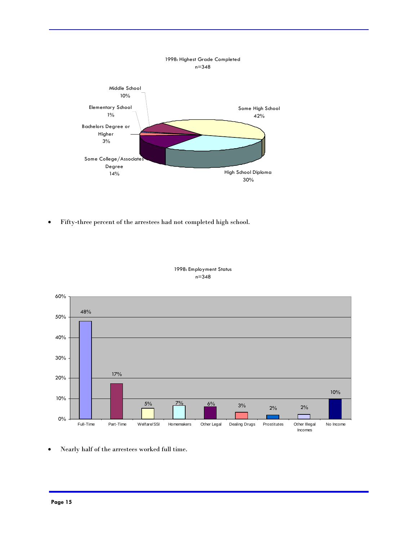

• Fifty-three percent of the arrestees had not completed high school.



1998: Employment Status n=348

• Nearly half of the arrestees worked full time.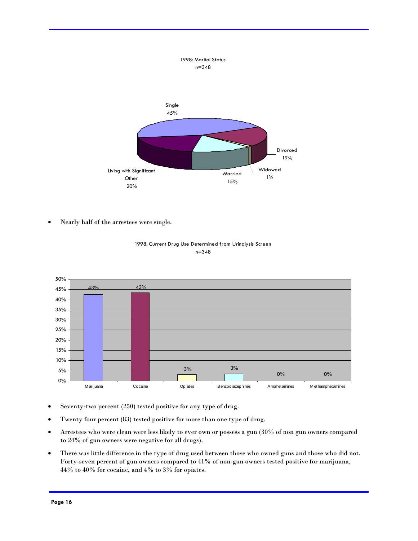

• Nearly half of the arrestees were single.



1998: Current Drug Use Determined from Urinalysis Screen n=348

- Seventy-two percent (250) tested positive for any type of drug.
- Twenty four percent (83) tested positive for more than one type of drug.
- Arrestees who were clean were less likely to ever own or possess a gun (30% of non gun owners compared to 24% of gun owners were negative for all drugs).
- There was little difference in the type of drug used between those who owned guns and those who did not. Forty-seven percent of gun owners compared to 41% of non-gun owners tested positive for marijuana, 44% to 40% for cocaine, and 4% to 3% for opiates.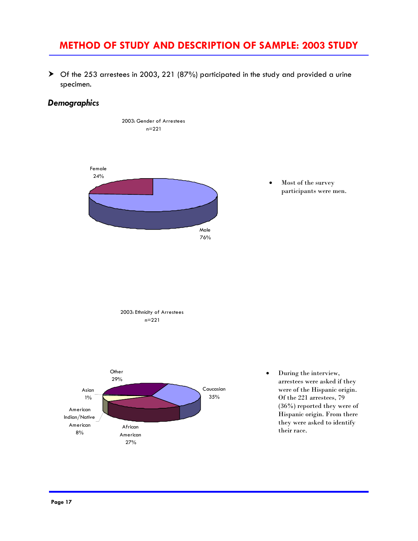## **METHOD OF STUDY AND DESCRIPTION OF SAMPLE: 2003 STUDY**

h Of the 253 arrestees in 2003, 221 (87%) participated in the study and provided a urine specimen.

## *Demographics*



• Most of the survey participants were men.





• During the interview, arrestees were asked if they were of the Hispanic origin. Of the 221 arrestees, 79 (36%) reported they were of Hispanic origin. From there they were asked to identify their race.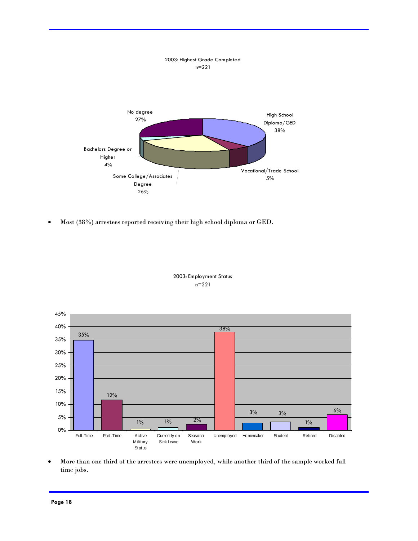

• Most (38%) arrestees reported receiving their high school diploma or GED.



2003: Employment Status n=221

• More than one third of the arrestees were unemployed, while another third of the sample worked full time jobs.